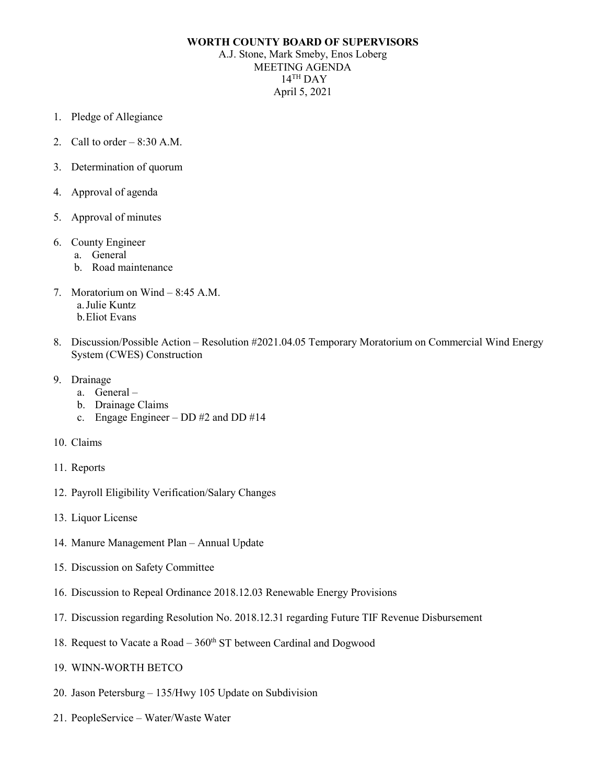## **WORTH COUNTY BOARD OF SUPERVISORS**

A.J. Stone, Mark Smeby, Enos Loberg MEETING AGENDA  $14$ <sup>TH</sup> DAY April 5, 2021

- 1. Pledge of Allegiance
- 2. Call to order  $-8:30$  A.M.
- 3. Determination of quorum
- 4. Approval of agenda
- 5. Approval of minutes
- 6. County Engineer
	- a. General
	- b. Road maintenance
- 7. Moratorium on Wind 8:45 A.M. a.Julie Kuntz b.Eliot Evans
- 8. Discussion/Possible Action Resolution #2021.04.05 Temporary Moratorium on Commercial Wind Energy System (CWES) Construction
- 9. Drainage
	- a. General –
	- b. Drainage Claims
	- c. Engage Engineer DD #2 and DD #14
- 10. Claims
- 11. Reports
- 12. Payroll Eligibility Verification/Salary Changes
- 13. Liquor License
- 14. Manure Management Plan Annual Update
- 15. Discussion on Safety Committee
- 16. Discussion to Repeal Ordinance 2018.12.03 Renewable Energy Provisions
- 17. Discussion regarding Resolution No. 2018.12.31 regarding Future TIF Revenue Disbursement
- 18. Request to Vacate a Road  $-360<sup>th</sup>$  ST between Cardinal and Dogwood
- 19. WINN-WORTH BETCO
- 20. Jason Petersburg 135/Hwy 105 Update on Subdivision
- 21. PeopleService Water/Waste Water